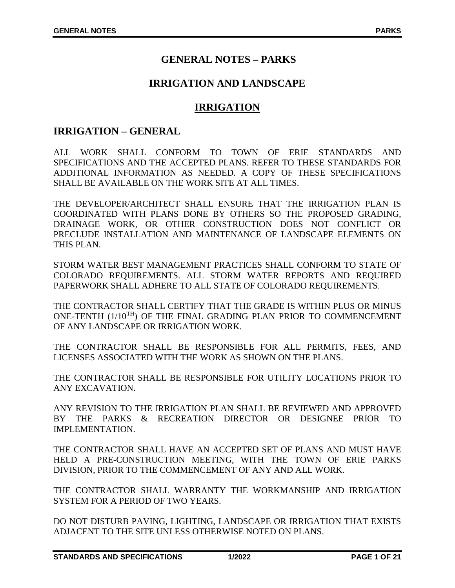## **GENERAL NOTES – PARKS**

## **IRRIGATION AND LANDSCAPE**

## **IRRIGATION**

### **IRRIGATION – GENERAL**

ALL WORK SHALL CONFORM TO TOWN OF ERIE STANDARDS AND SPECIFICATIONS AND THE ACCEPTED PLANS. REFER TO THESE STANDARDS FOR ADDITIONAL INFORMATION AS NEEDED. A COPY OF THESE SPECIFICATIONS SHALL BE AVAILABLE ON THE WORK SITE AT ALL TIMES.

THE DEVELOPER/ARCHITECT SHALL ENSURE THAT THE IRRIGATION PLAN IS COORDINATED WITH PLANS DONE BY OTHERS SO THE PROPOSED GRADING, DRAINAGE WORK, OR OTHER CONSTRUCTION DOES NOT CONFLICT OR PRECLUDE INSTALLATION AND MAINTENANCE OF LANDSCAPE ELEMENTS ON THIS PLAN.

STORM WATER BEST MANAGEMENT PRACTICES SHALL CONFORM TO STATE OF COLORADO REQUIREMENTS. ALL STORM WATER REPORTS AND REQUIRED PAPERWORK SHALL ADHERE TO ALL STATE OF COLORADO REQUIREMENTS.

THE CONTRACTOR SHALL CERTIFY THAT THE GRADE IS WITHIN PLUS OR MINUS ONE-TENTH (1/10TH) OF THE FINAL GRADING PLAN PRIOR TO COMMENCEMENT OF ANY LANDSCAPE OR IRRIGATION WORK.

THE CONTRACTOR SHALL BE RESPONSIBLE FOR ALL PERMITS, FEES, AND LICENSES ASSOCIATED WITH THE WORK AS SHOWN ON THE PLANS.

THE CONTRACTOR SHALL BE RESPONSIBLE FOR UTILITY LOCATIONS PRIOR TO ANY EXCAVATION.

ANY REVISION TO THE IRRIGATION PLAN SHALL BE REVIEWED AND APPROVED BY THE PARKS & RECREATION DIRECTOR OR DESIGNEE PRIOR TO IMPLEMENTATION.

THE CONTRACTOR SHALL HAVE AN ACCEPTED SET OF PLANS AND MUST HAVE HELD A PRE-CONSTRUCTION MEETING, WITH THE TOWN OF ERIE PARKS DIVISION, PRIOR TO THE COMMENCEMENT OF ANY AND ALL WORK.

THE CONTRACTOR SHALL WARRANTY THE WORKMANSHIP AND IRRIGATION SYSTEM FOR A PERIOD OF TWO YEARS.

DO NOT DISTURB PAVING, LIGHTING, LANDSCAPE OR IRRIGATION THAT EXISTS ADJACENT TO THE SITE UNLESS OTHERWISE NOTED ON PLANS.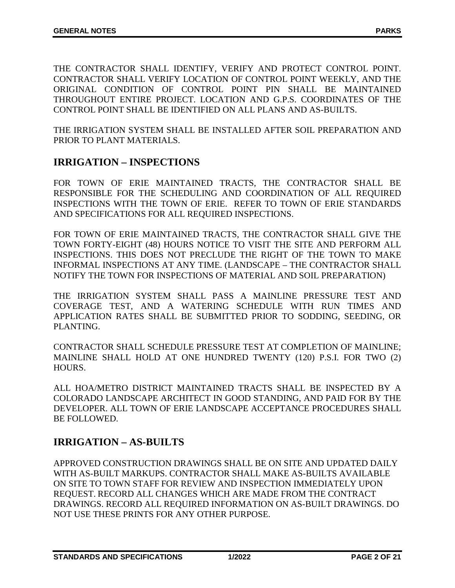THE CONTRACTOR SHALL IDENTIFY, VERIFY AND PROTECT CONTROL POINT. CONTRACTOR SHALL VERIFY LOCATION OF CONTROL POINT WEEKLY, AND THE ORIGINAL CONDITION OF CONTROL POINT PIN SHALL BE MAINTAINED THROUGHOUT ENTIRE PROJECT. LOCATION AND G.P.S. COORDINATES OF THE CONTROL POINT SHALL BE IDENTIFIED ON ALL PLANS AND AS-BUILTS.

THE IRRIGATION SYSTEM SHALL BE INSTALLED AFTER SOIL PREPARATION AND PRIOR TO PLANT MATERIALS.

## **IRRIGATION – INSPECTIONS**

FOR TOWN OF ERIE MAINTAINED TRACTS, THE CONTRACTOR SHALL BE RESPONSIBLE FOR THE SCHEDULING AND COORDINATION OF ALL REQUIRED INSPECTIONS WITH THE TOWN OF ERIE. REFER TO TOWN OF ERIE STANDARDS AND SPECIFICATIONS FOR ALL REQUIRED INSPECTIONS.

FOR TOWN OF ERIE MAINTAINED TRACTS, THE CONTRACTOR SHALL GIVE THE TOWN FORTY-EIGHT (48) HOURS NOTICE TO VISIT THE SITE AND PERFORM ALL INSPECTIONS. THIS DOES NOT PRECLUDE THE RIGHT OF THE TOWN TO MAKE INFORMAL INSPECTIONS AT ANY TIME. (LANDSCAPE – THE CONTRACTOR SHALL NOTIFY THE TOWN FOR INSPECTIONS OF MATERIAL AND SOIL PREPARATION)

THE IRRIGATION SYSTEM SHALL PASS A MAINLINE PRESSURE TEST AND COVERAGE TEST, AND A WATERING SCHEDULE WITH RUN TIMES AND APPLICATION RATES SHALL BE SUBMITTED PRIOR TO SODDING, SEEDING, OR PLANTING.

CONTRACTOR SHALL SCHEDULE PRESSURE TEST AT COMPLETION OF MAINLINE; MAINLINE SHALL HOLD AT ONE HUNDRED TWENTY (120) P.S.I. FOR TWO (2) HOURS.

ALL HOA/METRO DISTRICT MAINTAINED TRACTS SHALL BE INSPECTED BY A COLORADO LANDSCAPE ARCHITECT IN GOOD STANDING, AND PAID FOR BY THE DEVELOPER. ALL TOWN OF ERIE LANDSCAPE ACCEPTANCE PROCEDURES SHALL BE FOLLOWED.

# **IRRIGATION – AS-BUILTS**

APPROVED CONSTRUCTION DRAWINGS SHALL BE ON SITE AND UPDATED DAILY WITH AS-BUILT MARKUPS. CONTRACTOR SHALL MAKE AS-BUILTS AVAILABLE ON SITE TO TOWN STAFF FOR REVIEW AND INSPECTION IMMEDIATELY UPON REQUEST. RECORD ALL CHANGES WHICH ARE MADE FROM THE CONTRACT DRAWINGS. RECORD ALL REQUIRED INFORMATION ON AS-BUILT DRAWINGS. DO NOT USE THESE PRINTS FOR ANY OTHER PURPOSE.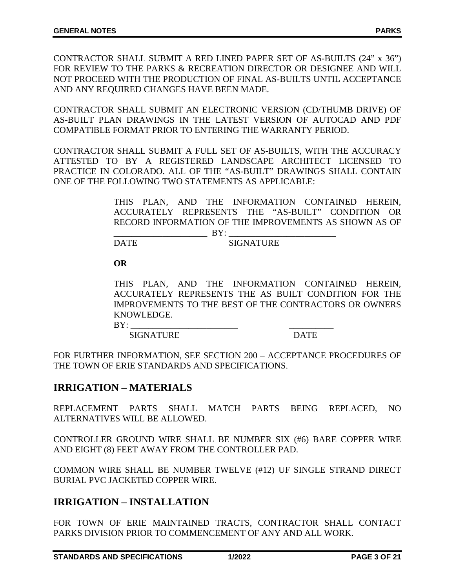CONTRACTOR SHALL SUBMIT A RED LINED PAPER SET OF AS-BUILTS (24" x 36") FOR REVIEW TO THE PARKS & RECREATION DIRECTOR OR DESIGNEE AND WILL NOT PROCEED WITH THE PRODUCTION OF FINAL AS-BUILTS UNTIL ACCEPTANCE AND ANY REQUIRED CHANGES HAVE BEEN MADE.

CONTRACTOR SHALL SUBMIT AN ELECTRONIC VERSION (CD/THUMB DRIVE) OF AS-BUILT PLAN DRAWINGS IN THE LATEST VERSION OF AUTOCAD AND PDF COMPATIBLE FORMAT PRIOR TO ENTERING THE WARRANTY PERIOD.

CONTRACTOR SHALL SUBMIT A FULL SET OF AS-BUILTS, WITH THE ACCURACY ATTESTED TO BY A REGISTERED LANDSCAPE ARCHITECT LICENSED TO PRACTICE IN COLORADO. ALL OF THE "AS-BUILT" DRAWINGS SHALL CONTAIN ONE OF THE FOLLOWING TWO STATEMENTS AS APPLICABLE:

> THIS PLAN, AND THE INFORMATION CONTAINED HEREIN, ACCURATELY REPRESENTS THE "AS-BUILT" CONDITION OR RECORD INFORMATION OF THE IMPROVEMENTS AS SHOWN AS OF  $\Box$  BY:

DATE SIGNATURE

**OR**

THIS PLAN, AND THE INFORMATION CONTAINED HEREIN, ACCURATELY REPRESENTS THE AS BUILT CONDITION FOR THE IMPROVEMENTS TO THE BEST OF THE CONTRACTORS OR OWNERS KNOWLEDGE.

BY: \_\_\_\_\_\_\_\_\_\_\_\_\_\_\_\_\_\_\_\_\_\_\_\_ \_\_\_\_\_\_\_\_\_\_

SIGNATURE DATE

FOR FURTHER INFORMATION, SEE SECTION 200 – ACCEPTANCE PROCEDURES OF THE TOWN OF ERIE STANDARDS AND SPECIFICATIONS.

## **IRRIGATION – MATERIALS**

REPLACEMENT PARTS SHALL MATCH PARTS BEING REPLACED, NO ALTERNATIVES WILL BE ALLOWED.

CONTROLLER GROUND WIRE SHALL BE NUMBER SIX (#6) BARE COPPER WIRE AND EIGHT (8) FEET AWAY FROM THE CONTROLLER PAD.

COMMON WIRE SHALL BE NUMBER TWELVE (#12) UF SINGLE STRAND DIRECT BURIAL PVC JACKETED COPPER WIRE.

## **IRRIGATION – INSTALLATION**

FOR TOWN OF ERIE MAINTAINED TRACTS, CONTRACTOR SHALL CONTACT PARKS DIVISION PRIOR TO COMMENCEMENT OF ANY AND ALL WORK.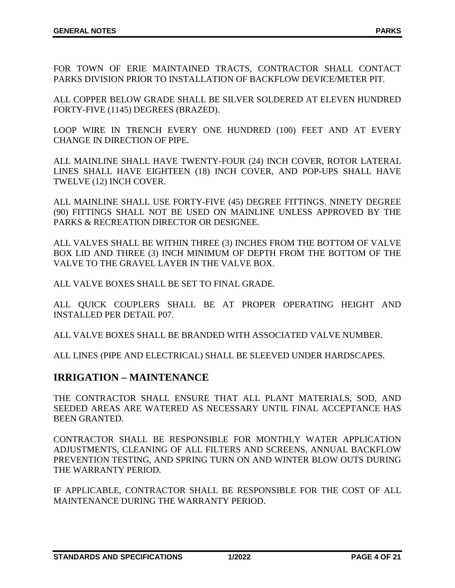FOR TOWN OF ERIE MAINTAINED TRACTS, CONTRACTOR SHALL CONTACT PARKS DIVISION PRIOR TO INSTALLATION OF BACKFLOW DEVICE/METER PIT.

ALL COPPER BELOW GRADE SHALL BE SILVER SOLDERED AT ELEVEN HUNDRED FORTY-FIVE (1145) DEGREES (BRAZED).

LOOP WIRE IN TRENCH EVERY ONE HUNDRED (100) FEET AND AT EVERY CHANGE IN DIRECTION OF PIPE.

ALL MAINLINE SHALL HAVE TWENTY-FOUR (24) INCH COVER, ROTOR LATERAL LINES SHALL HAVE EIGHTEEN (18) INCH COVER, AND POP-UPS SHALL HAVE TWELVE (12) INCH COVER.

ALL MAINLINE SHALL USE FORTY-FIVE (45) DEGREE FITTINGS. NINETY DEGREE (90) FITTINGS SHALL NOT BE USED ON MAINLINE UNLESS APPROVED BY THE PARKS & RECREATION DIRECTOR OR DESIGNEE.

ALL VALVES SHALL BE WITHIN THREE (3) INCHES FROM THE BOTTOM OF VALVE BOX LID AND THREE (3) INCH MINIMUM OF DEPTH FROM THE BOTTOM OF THE VALVE TO THE GRAVEL LAYER IN THE VALVE BOX.

ALL VALVE BOXES SHALL BE SET TO FINAL GRADE.

ALL QUICK COUPLERS SHALL BE AT PROPER OPERATING HEIGHT AND INSTALLED PER DETAIL P07.

ALL VALVE BOXES SHALL BE BRANDED WITH ASSOCIATED VALVE NUMBER.

ALL LINES (PIPE AND ELECTRICAL) SHALL BE SLEEVED UNDER HARDSCAPES.

## **IRRIGATION – MAINTENANCE**

THE CONTRACTOR SHALL ENSURE THAT ALL PLANT MATERIALS, SOD, AND SEEDED AREAS ARE WATERED AS NECESSARY UNTIL FINAL ACCEPTANCE HAS BEEN GRANTED.

CONTRACTOR SHALL BE RESPONSIBLE FOR MONTHLY WATER APPLICATION ADJUSTMENTS, CLEANING OF ALL FILTERS AND SCREENS, ANNUAL BACKFLOW PREVENTION TESTING, AND SPRING TURN ON AND WINTER BLOW OUTS DURING THE WARRANTY PERIOD.

IF APPLICABLE, CONTRACTOR SHALL BE RESPONSIBLE FOR THE COST OF ALL MAINTENANCE DURING THE WARRANTY PERIOD.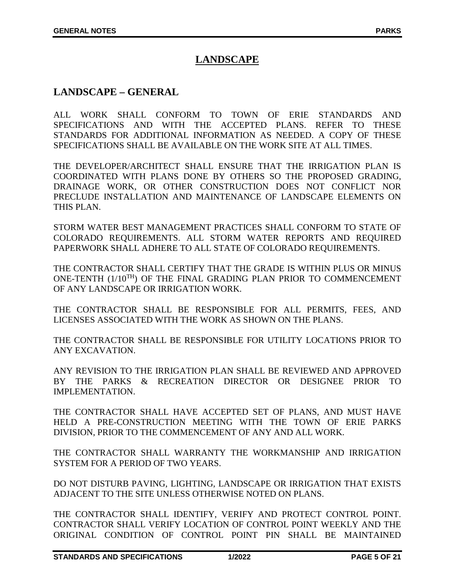# **LANDSCAPE**

### **LANDSCAPE – GENERAL**

ALL WORK SHALL CONFORM TO TOWN OF ERIE STANDARDS AND SPECIFICATIONS AND WITH THE ACCEPTED PLANS. REFER TO THESE STANDARDS FOR ADDITIONAL INFORMATION AS NEEDED. A COPY OF THESE SPECIFICATIONS SHALL BE AVAILABLE ON THE WORK SITE AT ALL TIMES.

THE DEVELOPER/ARCHITECT SHALL ENSURE THAT THE IRRIGATION PLAN IS COORDINATED WITH PLANS DONE BY OTHERS SO THE PROPOSED GRADING, DRAINAGE WORK, OR OTHER CONSTRUCTION DOES NOT CONFLICT NOR PRECLUDE INSTALLATION AND MAINTENANCE OF LANDSCAPE ELEMENTS ON THIS PLAN.

STORM WATER BEST MANAGEMENT PRACTICES SHALL CONFORM TO STATE OF COLORADO REQUIREMENTS. ALL STORM WATER REPORTS AND REQUIRED PAPERWORK SHALL ADHERE TO ALL STATE OF COLORADO REQUIREMENTS.

THE CONTRACTOR SHALL CERTIFY THAT THE GRADE IS WITHIN PLUS OR MINUS ONE-TENTH (1/10TH) OF THE FINAL GRADING PLAN PRIOR TO COMMENCEMENT OF ANY LANDSCAPE OR IRRIGATION WORK.

THE CONTRACTOR SHALL BE RESPONSIBLE FOR ALL PERMITS, FEES, AND LICENSES ASSOCIATED WITH THE WORK AS SHOWN ON THE PLANS.

THE CONTRACTOR SHALL BE RESPONSIBLE FOR UTILITY LOCATIONS PRIOR TO ANY EXCAVATION.

ANY REVISION TO THE IRRIGATION PLAN SHALL BE REVIEWED AND APPROVED BY THE PARKS & RECREATION DIRECTOR OR DESIGNEE PRIOR TO IMPLEMENTATION.

THE CONTRACTOR SHALL HAVE ACCEPTED SET OF PLANS, AND MUST HAVE HELD A PRE-CONSTRUCTION MEETING WITH THE TOWN OF ERIE PARKS DIVISION, PRIOR TO THE COMMENCEMENT OF ANY AND ALL WORK.

THE CONTRACTOR SHALL WARRANTY THE WORKMANSHIP AND IRRIGATION SYSTEM FOR A PERIOD OF TWO YEARS.

DO NOT DISTURB PAVING, LIGHTING, LANDSCAPE OR IRRIGATION THAT EXISTS ADJACENT TO THE SITE UNLESS OTHERWISE NOTED ON PLANS.

THE CONTRACTOR SHALL IDENTIFY, VERIFY AND PROTECT CONTROL POINT. CONTRACTOR SHALL VERIFY LOCATION OF CONTROL POINT WEEKLY AND THE ORIGINAL CONDITION OF CONTROL POINT PIN SHALL BE MAINTAINED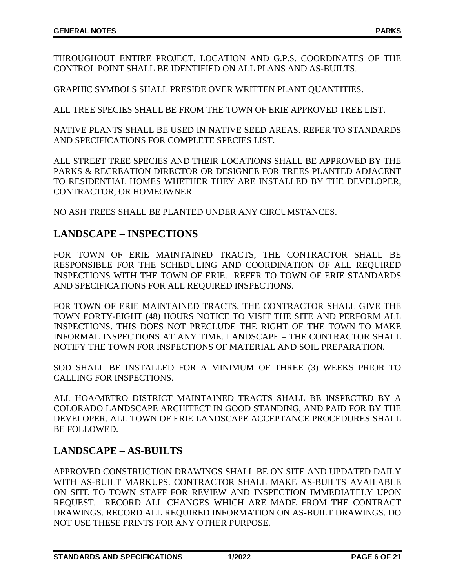THROUGHOUT ENTIRE PROJECT. LOCATION AND G.P.S. COORDINATES OF THE CONTROL POINT SHALL BE IDENTIFIED ON ALL PLANS AND AS-BUILTS.

GRAPHIC SYMBOLS SHALL PRESIDE OVER WRITTEN PLANT QUANTITIES.

ALL TREE SPECIES SHALL BE FROM THE TOWN OF ERIE APPROVED TREE LIST.

NATIVE PLANTS SHALL BE USED IN NATIVE SEED AREAS. REFER TO STANDARDS AND SPECIFICATIONS FOR COMPLETE SPECIES LIST.

ALL STREET TREE SPECIES AND THEIR LOCATIONS SHALL BE APPROVED BY THE PARKS & RECREATION DIRECTOR OR DESIGNEE FOR TREES PLANTED ADJACENT TO RESIDENTIAL HOMES WHETHER THEY ARE INSTALLED BY THE DEVELOPER, CONTRACTOR, OR HOMEOWNER.

NO ASH TREES SHALL BE PLANTED UNDER ANY CIRCUMSTANCES.

## **LANDSCAPE – INSPECTIONS**

FOR TOWN OF ERIE MAINTAINED TRACTS, THE CONTRACTOR SHALL BE RESPONSIBLE FOR THE SCHEDULING AND COORDINATION OF ALL REQUIRED INSPECTIONS WITH THE TOWN OF ERIE. REFER TO TOWN OF ERIE STANDARDS AND SPECIFICATIONS FOR ALL REQUIRED INSPECTIONS.

FOR TOWN OF ERIE MAINTAINED TRACTS, THE CONTRACTOR SHALL GIVE THE TOWN FORTY-EIGHT (48) HOURS NOTICE TO VISIT THE SITE AND PERFORM ALL INSPECTIONS. THIS DOES NOT PRECLUDE THE RIGHT OF THE TOWN TO MAKE INFORMAL INSPECTIONS AT ANY TIME. LANDSCAPE – THE CONTRACTOR SHALL NOTIFY THE TOWN FOR INSPECTIONS OF MATERIAL AND SOIL PREPARATION.

SOD SHALL BE INSTALLED FOR A MINIMUM OF THREE (3) WEEKS PRIOR TO CALLING FOR INSPECTIONS.

ALL HOA/METRO DISTRICT MAINTAINED TRACTS SHALL BE INSPECTED BY A COLORADO LANDSCAPE ARCHITECT IN GOOD STANDING, AND PAID FOR BY THE DEVELOPER. ALL TOWN OF ERIE LANDSCAPE ACCEPTANCE PROCEDURES SHALL BE FOLLOWED.

# **LANDSCAPE – AS-BUILTS**

APPROVED CONSTRUCTION DRAWINGS SHALL BE ON SITE AND UPDATED DAILY WITH AS-BUILT MARKUPS. CONTRACTOR SHALL MAKE AS-BUILTS AVAILABLE ON SITE TO TOWN STAFF FOR REVIEW AND INSPECTION IMMEDIATELY UPON REQUEST. RECORD ALL CHANGES WHICH ARE MADE FROM THE CONTRACT DRAWINGS. RECORD ALL REQUIRED INFORMATION ON AS-BUILT DRAWINGS. DO NOT USE THESE PRINTS FOR ANY OTHER PURPOSE.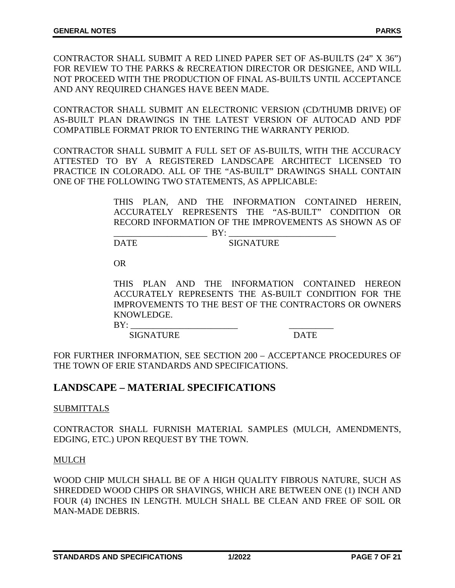CONTRACTOR SHALL SUBMIT A RED LINED PAPER SET OF AS-BUILTS (24" X 36") FOR REVIEW TO THE PARKS & RECREATION DIRECTOR OR DESIGNEE, AND WILL NOT PROCEED WITH THE PRODUCTION OF FINAL AS-BUILTS UNTIL ACCEPTANCE AND ANY REQUIRED CHANGES HAVE BEEN MADE.

CONTRACTOR SHALL SUBMIT AN ELECTRONIC VERSION (CD/THUMB DRIVE) OF AS-BUILT PLAN DRAWINGS IN THE LATEST VERSION OF AUTOCAD AND PDF COMPATIBLE FORMAT PRIOR TO ENTERING THE WARRANTY PERIOD.

CONTRACTOR SHALL SUBMIT A FULL SET OF AS-BUILTS, WITH THE ACCURACY ATTESTED TO BY A REGISTERED LANDSCAPE ARCHITECT LICENSED TO PRACTICE IN COLORADO. ALL OF THE "AS-BUILT" DRAWINGS SHALL CONTAIN ONE OF THE FOLLOWING TWO STATEMENTS, AS APPLICABLE:

> THIS PLAN, AND THE INFORMATION CONTAINED HEREIN, ACCURATELY REPRESENTS THE "AS-BUILT" CONDITION OR RECORD INFORMATION OF THE IMPROVEMENTS AS SHOWN AS OF  $\overline{\mathbf{BY}}$ :

DATE SIGNATURE

OR

THIS PLAN AND THE INFORMATION CONTAINED HEREON ACCURATELY REPRESENTS THE AS-BUILT CONDITION FOR THE IMPROVEMENTS TO THE BEST OF THE CONTRACTORS OR OWNERS KNOWLEDGE.

BY: \_\_\_\_\_\_\_\_\_\_\_\_\_\_\_\_\_\_\_\_\_\_\_\_ \_\_\_\_\_\_\_\_\_\_

SIGNATURE DATE

FOR FURTHER INFORMATION, SEE SECTION 200 – ACCEPTANCE PROCEDURES OF THE TOWN OF ERIE STANDARDS AND SPECIFICATIONS.

## **LANDSCAPE – MATERIAL SPECIFICATIONS**

### SUBMITTALS

CONTRACTOR SHALL FURNISH MATERIAL SAMPLES (MULCH, AMENDMENTS, EDGING, ETC.) UPON REQUEST BY THE TOWN.

### MULCH

WOOD CHIP MULCH SHALL BE OF A HIGH QUALITY FIBROUS NATURE, SUCH AS SHREDDED WOOD CHIPS OR SHAVINGS, WHICH ARE BETWEEN ONE (1) INCH AND FOUR (4) INCHES IN LENGTH. MULCH SHALL BE CLEAN AND FREE OF SOIL OR MAN-MADE DEBRIS.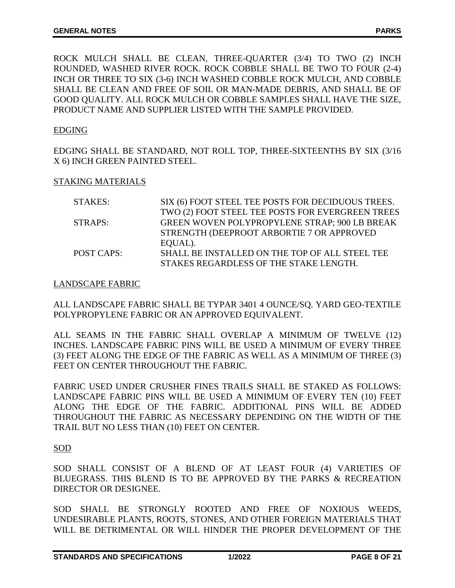ROCK MULCH SHALL BE CLEAN, THREE-QUARTER (3/4) TO TWO (2) INCH ROUNDED, WASHED RIVER ROCK. ROCK COBBLE SHALL BE TWO TO FOUR (2-4) INCH OR THREE TO SIX (3-6) INCH WASHED COBBLE ROCK MULCH, AND COBBLE SHALL BE CLEAN AND FREE OF SOIL OR MAN-MADE DEBRIS, AND SHALL BE OF GOOD QUALITY. ALL ROCK MULCH OR COBBLE SAMPLES SHALL HAVE THE SIZE, PRODUCT NAME AND SUPPLIER LISTED WITH THE SAMPLE PROVIDED.

#### EDGING

EDGING SHALL BE STANDARD, NOT ROLL TOP, THREE-SIXTEENTHS BY SIX (3/16 X 6) INCH GREEN PAINTED STEEL.

#### STAKING MATERIALS

| <b>STAKES:</b>    | SIX (6) FOOT STEEL TEE POSTS FOR DECIDUOUS TREES. |
|-------------------|---------------------------------------------------|
|                   | TWO (2) FOOT STEEL TEE POSTS FOR EVERGREEN TREES  |
| STRAPS:           | GREEN WOVEN POLYPROPYLENE STRAP; 900 LB BREAK     |
|                   | STRENGTH (DEEPROOT ARBORTIE 7 OR APPROVED         |
|                   | EQUAL).                                           |
| <b>POST CAPS:</b> | SHALL BE INSTALLED ON THE TOP OF ALL STEEL TEE    |
|                   | STAKES REGARDLESS OF THE STAKE LENGTH.            |

#### LANDSCAPE FABRIC

ALL LANDSCAPE FABRIC SHALL BE TYPAR 3401 4 OUNCE/SQ. YARD GEO-TEXTILE POLYPROPYLENE FABRIC OR AN APPROVED EQUIVALENT.

ALL SEAMS IN THE FABRIC SHALL OVERLAP A MINIMUM OF TWELVE (12) INCHES. LANDSCAPE FABRIC PINS WILL BE USED A MINIMUM OF EVERY THREE (3) FEET ALONG THE EDGE OF THE FABRIC AS WELL AS A MINIMUM OF THREE (3) FEET ON CENTER THROUGHOUT THE FABRIC.

FABRIC USED UNDER CRUSHER FINES TRAILS SHALL BE STAKED AS FOLLOWS: LANDSCAPE FABRIC PINS WILL BE USED A MINIMUM OF EVERY TEN (10) FEET ALONG THE EDGE OF THE FABRIC. ADDITIONAL PINS WILL BE ADDED THROUGHOUT THE FABRIC AS NECESSARY DEPENDING ON THE WIDTH OF THE TRAIL BUT NO LESS THAN (10) FEET ON CENTER.

#### SOD

SOD SHALL CONSIST OF A BLEND OF AT LEAST FOUR (4) VARIETIES OF BLUEGRASS. THIS BLEND IS TO BE APPROVED BY THE PARKS & RECREATION DIRECTOR OR DESIGNEE.

SOD SHALL BE STRONGLY ROOTED AND FREE OF NOXIOUS WEEDS, UNDESIRABLE PLANTS, ROOTS, STONES, AND OTHER FOREIGN MATERIALS THAT WILL BE DETRIMENTAL OR WILL HINDER THE PROPER DEVELOPMENT OF THE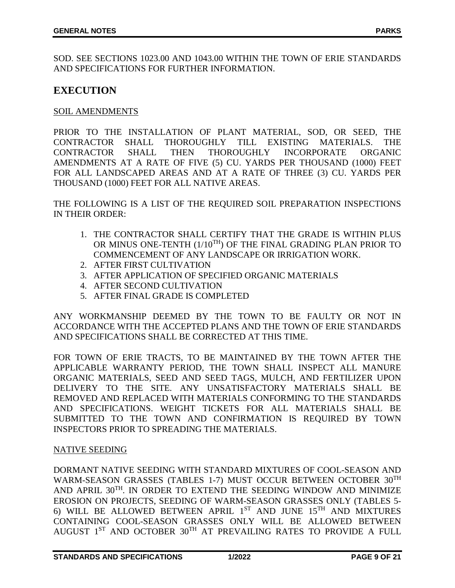SOD. SEE SECTIONS 1023.00 AND 1043.00 WITHIN THE TOWN OF ERIE STANDARDS AND SPECIFICATIONS FOR FURTHER INFORMATION.

### **EXECUTION**

### SOIL AMENDMENTS

PRIOR TO THE INSTALLATION OF PLANT MATERIAL, SOD, OR SEED, THE CONTRACTOR SHALL THOROUGHLY TILL EXISTING MATERIALS. THE CONTRACTOR SHALL THEN THOROUGHLY INCORPORATE ORGANIC AMENDMENTS AT A RATE OF FIVE (5) CU. YARDS PER THOUSAND (1000) FEET FOR ALL LANDSCAPED AREAS AND AT A RATE OF THREE (3) CU. YARDS PER THOUSAND (1000) FEET FOR ALL NATIVE AREAS.

THE FOLLOWING IS A LIST OF THE REQUIRED SOIL PREPARATION INSPECTIONS IN THEIR ORDER:

- 1. THE CONTRACTOR SHALL CERTIFY THAT THE GRADE IS WITHIN PLUS OR MINUS ONE-TENTH (1/10<sup>TH</sup>) OF THE FINAL GRADING PLAN PRIOR TO COMMENCEMENT OF ANY LANDSCAPE OR IRRIGATION WORK.
- 2. AFTER FIRST CULTIVATION
- 3. AFTER APPLICATION OF SPECIFIED ORGANIC MATERIALS
- 4. AFTER SECOND CULTIVATION
- 5. AFTER FINAL GRADE IS COMPLETED

ANY WORKMANSHIP DEEMED BY THE TOWN TO BE FAULTY OR NOT IN ACCORDANCE WITH THE ACCEPTED PLANS AND THE TOWN OF ERIE STANDARDS AND SPECIFICATIONS SHALL BE CORRECTED AT THIS TIME.

FOR TOWN OF ERIE TRACTS, TO BE MAINTAINED BY THE TOWN AFTER THE APPLICABLE WARRANTY PERIOD, THE TOWN SHALL INSPECT ALL MANURE ORGANIC MATERIALS, SEED AND SEED TAGS, MULCH, AND FERTILIZER UPON DELIVERY TO THE SITE. ANY UNSATISFACTORY MATERIALS SHALL BE REMOVED AND REPLACED WITH MATERIALS CONFORMING TO THE STANDARDS AND SPECIFICATIONS. WEIGHT TICKETS FOR ALL MATERIALS SHALL BE SUBMITTED TO THE TOWN AND CONFIRMATION IS REQUIRED BY TOWN INSPECTORS PRIOR TO SPREADING THE MATERIALS.

### NATIVE SEEDING

DORMANT NATIVE SEEDING WITH STANDARD MIXTURES OF COOL-SEASON AND WARM-SEASON GRASSES (TABLES 1-7) MUST OCCUR BETWEEN OCTOBER 30TH AND APRIL 30<sup>TH</sup>. IN ORDER TO EXTEND THE SEEDING WINDOW AND MINIMIZE EROSION ON PROJECTS, SEEDING OF WARM-SEASON GRASSES ONLY (TABLES 5- 6) WILL BE ALLOWED BETWEEN APRIL 1ST AND JUNE 15TH AND MIXTURES CONTAINING COOL-SEASON GRASSES ONLY WILL BE ALLOWED BETWEEN AUGUST 1ST AND OCTOBER 30TH AT PREVAILING RATES TO PROVIDE A FULL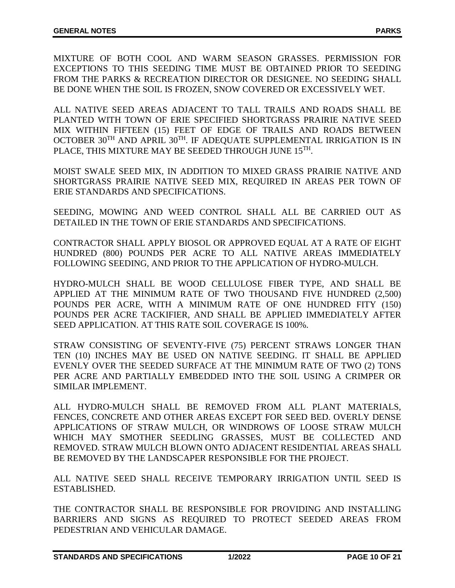MIXTURE OF BOTH COOL AND WARM SEASON GRASSES. PERMISSION FOR EXCEPTIONS TO THIS SEEDING TIME MUST BE OBTAINED PRIOR TO SEEDING FROM THE PARKS & RECREATION DIRECTOR OR DESIGNEE. NO SEEDING SHALL BE DONE WHEN THE SOIL IS FROZEN, SNOW COVERED OR EXCESSIVELY WET.

ALL NATIVE SEED AREAS ADJACENT TO TALL TRAILS AND ROADS SHALL BE PLANTED WITH TOWN OF ERIE SPECIFIED SHORTGRASS PRAIRIE NATIVE SEED MIX WITHIN FIFTEEN (15) FEET OF EDGE OF TRAILS AND ROADS BETWEEN OCTOBER 30TH AND APRIL 30TH. IF ADEQUATE SUPPLEMENTAL IRRIGATION IS IN PLACE, THIS MIXTURE MAY BE SEEDED THROUGH JUNE 15TH.

MOIST SWALE SEED MIX, IN ADDITION TO MIXED GRASS PRAIRIE NATIVE AND SHORTGRASS PRAIRIE NATIVE SEED MIX, REQUIRED IN AREAS PER TOWN OF ERIE STANDARDS AND SPECIFICATIONS.

SEEDING, MOWING AND WEED CONTROL SHALL ALL BE CARRIED OUT AS DETAILED IN THE TOWN OF ERIE STANDARDS AND SPECIFICATIONS.

CONTRACTOR SHALL APPLY BIOSOL OR APPROVED EQUAL AT A RATE OF EIGHT HUNDRED (800) POUNDS PER ACRE TO ALL NATIVE AREAS IMMEDIATELY FOLLOWING SEEDING, AND PRIOR TO THE APPLICATION OF HYDRO-MULCH.

HYDRO-MULCH SHALL BE WOOD CELLULOSE FIBER TYPE, AND SHALL BE APPLIED AT THE MINIMUM RATE OF TWO THOUSAND FIVE HUNDRED (2,500) POUNDS PER ACRE, WITH A MINIMUM RATE OF ONE HUNDRED FITY (150) POUNDS PER ACRE TACKIFIER, AND SHALL BE APPLIED IMMEDIATELY AFTER SEED APPLICATION. AT THIS RATE SOIL COVERAGE IS 100%.

STRAW CONSISTING OF SEVENTY-FIVE (75) PERCENT STRAWS LONGER THAN TEN (10) INCHES MAY BE USED ON NATIVE SEEDING. IT SHALL BE APPLIED EVENLY OVER THE SEEDED SURFACE AT THE MINIMUM RATE OF TWO (2) TONS PER ACRE AND PARTIALLY EMBEDDED INTO THE SOIL USING A CRIMPER OR SIMILAR IMPLEMENT.

ALL HYDRO-MULCH SHALL BE REMOVED FROM ALL PLANT MATERIALS, FENCES, CONCRETE AND OTHER AREAS EXCEPT FOR SEED BED. OVERLY DENSE APPLICATIONS OF STRAW MULCH, OR WINDROWS OF LOOSE STRAW MULCH WHICH MAY SMOTHER SEEDLING GRASSES, MUST BE COLLECTED AND REMOVED. STRAW MULCH BLOWN ONTO ADJACENT RESIDENTIAL AREAS SHALL BE REMOVED BY THE LANDSCAPER RESPONSIBLE FOR THE PROJECT.

ALL NATIVE SEED SHALL RECEIVE TEMPORARY IRRIGATION UNTIL SEED IS ESTABLISHED.

THE CONTRACTOR SHALL BE RESPONSIBLE FOR PROVIDING AND INSTALLING BARRIERS AND SIGNS AS REQUIRED TO PROTECT SEEDED AREAS FROM PEDESTRIAN AND VEHICULAR DAMAGE.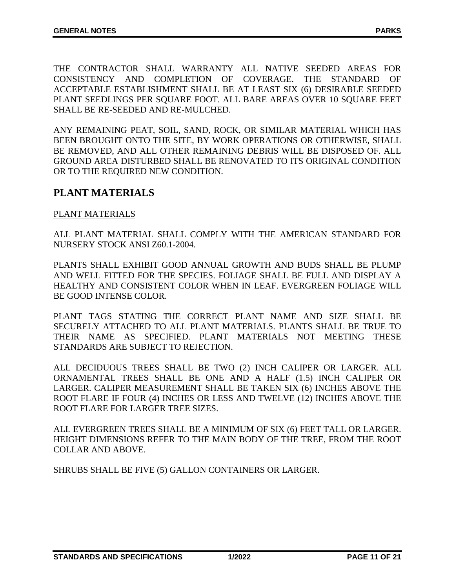THE CONTRACTOR SHALL WARRANTY ALL NATIVE SEEDED AREAS FOR CONSISTENCY AND COMPLETION OF COVERAGE. THE STANDARD OF ACCEPTABLE ESTABLISHMENT SHALL BE AT LEAST SIX (6) DESIRABLE SEEDED PLANT SEEDLINGS PER SQUARE FOOT. ALL BARE AREAS OVER 10 SQUARE FEET SHALL BE RE-SEEDED AND RE-MULCHED.

ANY REMAINING PEAT, SOIL, SAND, ROCK, OR SIMILAR MATERIAL WHICH HAS BEEN BROUGHT ONTO THE SITE, BY WORK OPERATIONS OR OTHERWISE, SHALL BE REMOVED, AND ALL OTHER REMAINING DEBRIS WILL BE DISPOSED OF. ALL GROUND AREA DISTURBED SHALL BE RENOVATED TO ITS ORIGINAL CONDITION OR TO THE REQUIRED NEW CONDITION.

# **PLANT MATERIALS**

### PLANT MATERIALS

ALL PLANT MATERIAL SHALL COMPLY WITH THE AMERICAN STANDARD FOR NURSERY STOCK ANSI Z60.1-2004.

PLANTS SHALL EXHIBIT GOOD ANNUAL GROWTH AND BUDS SHALL BE PLUMP AND WELL FITTED FOR THE SPECIES. FOLIAGE SHALL BE FULL AND DISPLAY A HEALTHY AND CONSISTENT COLOR WHEN IN LEAF. EVERGREEN FOLIAGE WILL BE GOOD INTENSE COLOR.

PLANT TAGS STATING THE CORRECT PLANT NAME AND SIZE SHALL BE SECURELY ATTACHED TO ALL PLANT MATERIALS. PLANTS SHALL BE TRUE TO THEIR NAME AS SPECIFIED. PLANT MATERIALS NOT MEETING THESE STANDARDS ARE SUBJECT TO REJECTION.

ALL DECIDUOUS TREES SHALL BE TWO (2) INCH CALIPER OR LARGER. ALL ORNAMENTAL TREES SHALL BE ONE AND A HALF (1.5) INCH CALIPER OR LARGER. CALIPER MEASUREMENT SHALL BE TAKEN SIX (6) INCHES ABOVE THE ROOT FLARE IF FOUR (4) INCHES OR LESS AND TWELVE (12) INCHES ABOVE THE ROOT FLARE FOR LARGER TREE SIZES.

ALL EVERGREEN TREES SHALL BE A MINIMUM OF SIX (6) FEET TALL OR LARGER. HEIGHT DIMENSIONS REFER TO THE MAIN BODY OF THE TREE, FROM THE ROOT COLLAR AND ABOVE.

SHRUBS SHALL BE FIVE (5) GALLON CONTAINERS OR LARGER.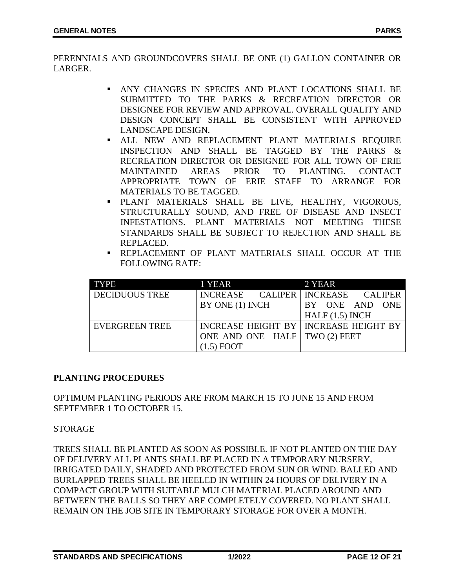PERENNIALS AND GROUNDCOVERS SHALL BE ONE (1) GALLON CONTAINER OR LARGER.

- ANY CHANGES IN SPECIES AND PLANT LOCATIONS SHALL BE SUBMITTED TO THE PARKS & RECREATION DIRECTOR OR DESIGNEE FOR REVIEW AND APPROVAL. OVERALL QUALITY AND DESIGN CONCEPT SHALL BE CONSISTENT WITH APPROVED LANDSCAPE DESIGN.
- ALL NEW AND REPLACEMENT PLANT MATERIALS REQUIRE INSPECTION AND SHALL BE TAGGED BY THE PARKS & RECREATION DIRECTOR OR DESIGNEE FOR ALL TOWN OF ERIE MAINTAINED AREAS PRIOR TO PLANTING. CONTACT APPROPRIATE TOWN OF ERIE STAFF TO ARRANGE FOR MATERIALS TO BE TAGGED.
- PLANT MATERIALS SHALL BE LIVE, HEALTHY, VIGOROUS, STRUCTURALLY SOUND, AND FREE OF DISEASE AND INSECT INFESTATIONS. PLANT MATERIALS NOT MEETING THESE STANDARDS SHALL BE SUBJECT TO REJECTION AND SHALL BE REPLACED.
- REPLACEMENT OF PLANT MATERIALS SHALL OCCUR AT THE FOLLOWING RATE:

| <b>TYPE</b>           | 1 YEAR                                         | 2 YEAR                            |
|-----------------------|------------------------------------------------|-----------------------------------|
| <b>DECIDUOUS TREE</b> |                                                | INCREASE CALIPER INCREASE CALIPER |
|                       | BY ONE (1) INCH                                | BY ONE AND ONE                    |
|                       |                                                | HALF(1.5) INCH                    |
| EVERGREEN TREE        | <b>INCREASE HEIGHT BY   INCREASE HEIGHT BY</b> |                                   |
|                       | ONE AND ONE HALF   TWO (2) FEET                |                                   |
|                       | $(1.5)$ FOOT                                   |                                   |

### **PLANTING PROCEDURES**

OPTIMUM PLANTING PERIODS ARE FROM MARCH 15 TO JUNE 15 AND FROM SEPTEMBER 1 TO OCTOBER 15.

### STORAGE

TREES SHALL BE PLANTED AS SOON AS POSSIBLE. IF NOT PLANTED ON THE DAY OF DELIVERY ALL PLANTS SHALL BE PLACED IN A TEMPORARY NURSERY, IRRIGATED DAILY, SHADED AND PROTECTED FROM SUN OR WIND. BALLED AND BURLAPPED TREES SHALL BE HEELED IN WITHIN 24 HOURS OF DELIVERY IN A COMPACT GROUP WITH SUITABLE MULCH MATERIAL PLACED AROUND AND BETWEEN THE BALLS SO THEY ARE COMPLETELY COVERED. NO PLANT SHALL REMAIN ON THE JOB SITE IN TEMPORARY STORAGE FOR OVER A MONTH.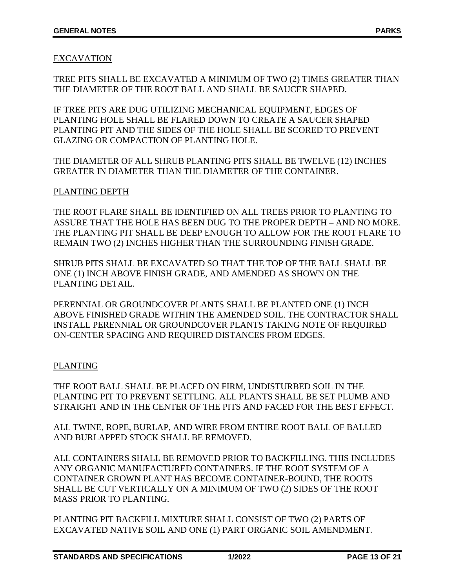### EXCAVATION

TREE PITS SHALL BE EXCAVATED A MINIMUM OF TWO (2) TIMES GREATER THAN THE DIAMETER OF THE ROOT BALL AND SHALL BE SAUCER SHAPED.

IF TREE PITS ARE DUG UTILIZING MECHANICAL EQUIPMENT, EDGES OF PLANTING HOLE SHALL BE FLARED DOWN TO CREATE A SAUCER SHAPED PLANTING PIT AND THE SIDES OF THE HOLE SHALL BE SCORED TO PREVENT GLAZING OR COMPACTION OF PLANTING HOLE.

THE DIAMETER OF ALL SHRUB PLANTING PITS SHALL BE TWELVE (12) INCHES GREATER IN DIAMETER THAN THE DIAMETER OF THE CONTAINER.

### PLANTING DEPTH

THE ROOT FLARE SHALL BE IDENTIFIED ON ALL TREES PRIOR TO PLANTING TO ASSURE THAT THE HOLE HAS BEEN DUG TO THE PROPER DEPTH – AND NO MORE. THE PLANTING PIT SHALL BE DEEP ENOUGH TO ALLOW FOR THE ROOT FLARE TO REMAIN TWO (2) INCHES HIGHER THAN THE SURROUNDING FINISH GRADE.

SHRUB PITS SHALL BE EXCAVATED SO THAT THE TOP OF THE BALL SHALL BE ONE (1) INCH ABOVE FINISH GRADE, AND AMENDED AS SHOWN ON THE PLANTING DETAIL.

PERENNIAL OR GROUNDCOVER PLANTS SHALL BE PLANTED ONE (1) INCH ABOVE FINISHED GRADE WITHIN THE AMENDED SOIL. THE CONTRACTOR SHALL INSTALL PERENNIAL OR GROUNDCOVER PLANTS TAKING NOTE OF REQUIRED ON-CENTER SPACING AND REQUIRED DISTANCES FROM EDGES.

### PLANTING

THE ROOT BALL SHALL BE PLACED ON FIRM, UNDISTURBED SOIL IN THE PLANTING PIT TO PREVENT SETTLING. ALL PLANTS SHALL BE SET PLUMB AND STRAIGHT AND IN THE CENTER OF THE PITS AND FACED FOR THE BEST EFFECT.

ALL TWINE, ROPE, BURLAP, AND WIRE FROM ENTIRE ROOT BALL OF BALLED AND BURLAPPED STOCK SHALL BE REMOVED.

ALL CONTAINERS SHALL BE REMOVED PRIOR TO BACKFILLING. THIS INCLUDES ANY ORGANIC MANUFACTURED CONTAINERS. IF THE ROOT SYSTEM OF A CONTAINER GROWN PLANT HAS BECOME CONTAINER-BOUND, THE ROOTS SHALL BE CUT VERTICALLY ON A MINIMUM OF TWO (2) SIDES OF THE ROOT MASS PRIOR TO PLANTING.

PLANTING PIT BACKFILL MIXTURE SHALL CONSIST OF TWO (2) PARTS OF EXCAVATED NATIVE SOIL AND ONE (1) PART ORGANIC SOIL AMENDMENT.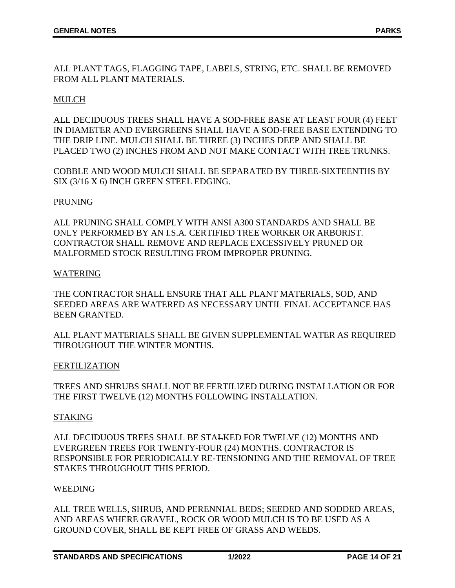ALL PLANT TAGS, FLAGGING TAPE, LABELS, STRING, ETC. SHALL BE REMOVED FROM ALL PLANT MATERIALS.

### MULCH

ALL DECIDUOUS TREES SHALL HAVE A SOD-FREE BASE AT LEAST FOUR (4) FEET IN DIAMETER AND EVERGREENS SHALL HAVE A SOD-FREE BASE EXTENDING TO THE DRIP LINE. MULCH SHALL BE THREE (3) INCHES DEEP AND SHALL BE PLACED TWO (2) INCHES FROM AND NOT MAKE CONTACT WITH TREE TRUNKS.

COBBLE AND WOOD MULCH SHALL BE SEPARATED BY THREE-SIXTEENTHS BY SIX (3/16 X 6) INCH GREEN STEEL EDGING.

### PRUNING

ALL PRUNING SHALL COMPLY WITH ANSI A300 STANDARDS AND SHALL BE ONLY PERFORMED BY AN I.S.A. CERTIFIED TREE WORKER OR ARBORIST. CONTRACTOR SHALL REMOVE AND REPLACE EXCESSIVELY PRUNED OR MALFORMED STOCK RESULTING FROM IMPROPER PRUNING.

### WATERING

THE CONTRACTOR SHALL ENSURE THAT ALL PLANT MATERIALS, SOD, AND SEEDED AREAS ARE WATERED AS NECESSARY UNTIL FINAL ACCEPTANCE HAS BEEN GRANTED.

ALL PLANT MATERIALS SHALL BE GIVEN SUPPLEMENTAL WATER AS REQUIRED THROUGHOUT THE WINTER MONTHS.

### FERTILIZATION

TREES AND SHRUBS SHALL NOT BE FERTILIZED DURING INSTALLATION OR FOR THE FIRST TWELVE (12) MONTHS FOLLOWING INSTALLATION.

### STAKING

ALL DECIDUOUS TREES SHALL BE STALKED FOR TWELVE (12) MONTHS AND EVERGREEN TREES FOR TWENTY-FOUR (24) MONTHS. CONTRACTOR IS RESPONSIBLE FOR PERIODICALLY RE-TENSIONING AND THE REMOVAL OF TREE STAKES THROUGHOUT THIS PERIOD.

#### WEEDING

ALL TREE WELLS, SHRUB, AND PERENNIAL BEDS; SEEDED AND SODDED AREAS, AND AREAS WHERE GRAVEL, ROCK OR WOOD MULCH IS TO BE USED AS A GROUND COVER, SHALL BE KEPT FREE OF GRASS AND WEEDS.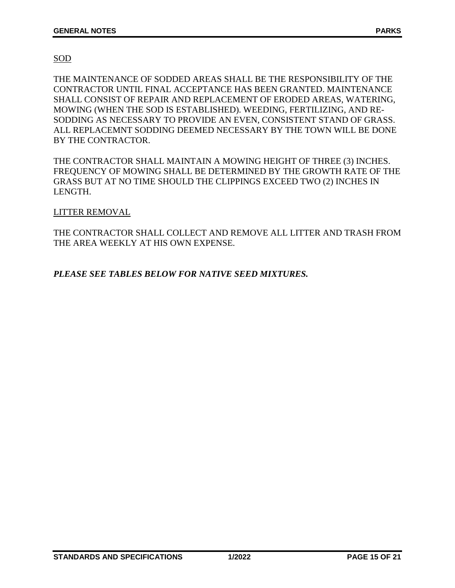### SOD

THE MAINTENANCE OF SODDED AREAS SHALL BE THE RESPONSIBILITY OF THE CONTRACTOR UNTIL FINAL ACCEPTANCE HAS BEEN GRANTED. MAINTENANCE SHALL CONSIST OF REPAIR AND REPLACEMENT OF ERODED AREAS, WATERING, MOWING (WHEN THE SOD IS ESTABLISHED). WEEDING, FERTILIZING, AND RE-SODDING AS NECESSARY TO PROVIDE AN EVEN, CONSISTENT STAND OF GRASS. ALL REPLACEMNT SODDING DEEMED NECESSARY BY THE TOWN WILL BE DONE BY THE CONTRACTOR.

THE CONTRACTOR SHALL MAINTAIN A MOWING HEIGHT OF THREE (3) INCHES. FREQUENCY OF MOWING SHALL BE DETERMINED BY THE GROWTH RATE OF THE GRASS BUT AT NO TIME SHOULD THE CLIPPINGS EXCEED TWO (2) INCHES IN LENGTH.

### LITTER REMOVAL

THE CONTRACTOR SHALL COLLECT AND REMOVE ALL LITTER AND TRASH FROM THE AREA WEEKLY AT HIS OWN EXPENSE.

*PLEASE SEE TABLES BELOW FOR NATIVE SEED MIXTURES.*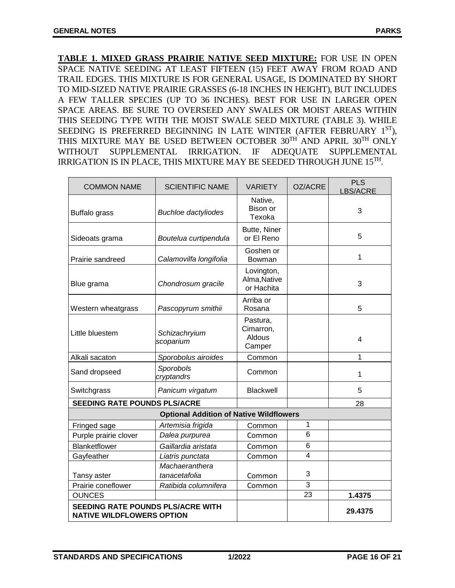**TABLE 1. MIXED GRASS PRAIRIE NATIVE SEED MIXTURE:** FOR USE IN OPEN SPACE NATIVE SEEDING AT LEAST FIFTEEN (15) FEET AWAY FROM ROAD AND TRAIL EDGES. THIS MIXTURE IS FOR GENERAL USAGE, IS DOMINATED BY SHORT TO MID-SIZED NATIVE PRAIRIE GRASSES (6-18 INCHES IN HEIGHT), BUT INCLUDES A FEW TALLER SPECIES (UP TO 36 INCHES). BEST FOR USE IN LARGER OPEN SPACE AREAS. BE SURE TO OVERSEED ANY SWALES OR MOIST AREAS WITHIN THIS SEEDING TYPE WITH THE MOIST SWALE SEED MIXTURE (TABLE 3). WHILE SEEDING IS PREFERRED BEGINNING IN LATE WINTER (AFTER FEBRUARY  $1^{ST}$ ), THIS MIXTURE MAY BE USED BETWEEN OCTOBER 30TH AND APRIL 30TH ONLY WITHOUT SUPPLEMENTAL IRRIGATION. IF ADEQUATE SUPPLEMENTAL IRRIGATION IS IN PLACE, THIS MIXTURE MAY BE SEEDED THROUGH JUNE 15TH.

| <b>COMMON NAME</b>                                                           | <b>SCIENTIFIC NAME</b>                                  | <b>VARIETY</b>                            | OZ/ACRE                 | <b>PLS</b><br><b>LBS/ACRE</b> |
|------------------------------------------------------------------------------|---------------------------------------------------------|-------------------------------------------|-------------------------|-------------------------------|
| <b>Buffalo</b> grass                                                         | <b>Buchloe dactyliodes</b>                              | Native,<br>Bison or<br>Texoka             |                         | 3                             |
| Sideoats grama                                                               | Boutelua curtipendula                                   | Butte, Niner<br>or El Reno                |                         | 5                             |
| Prairie sandreed                                                             | Calamovilfa longifolia                                  | Goshen or<br>Bowman                       |                         | 1                             |
| Blue grama                                                                   | Chondrosum gracile                                      | Lovington,<br>Alma, Native<br>or Hachita  |                         | 3                             |
| Western wheatgrass                                                           | Pascopyrum smithii                                      | Arriba or<br>Rosana                       |                         | 5                             |
| Little bluestem                                                              | Schizachryium<br>scoparium                              | Pastura,<br>Cimarron,<br>Aldous<br>Camper |                         | $\overline{\mathbf{4}}$       |
| Alkali sacaton                                                               | Sporobolus airoides                                     | Common                                    |                         | 1                             |
| Sand dropseed                                                                | Sporobols<br>cryptandrs                                 | Common                                    |                         | 1                             |
| Switchgrass                                                                  | Panicum virgatum                                        | Blackwell                                 |                         | 5                             |
| <b>SEEDING RATE POUNDS PLS/ACRE</b>                                          |                                                         |                                           | 28                      |                               |
|                                                                              | <b>Optional Addition of Native Wildflowers</b>          |                                           |                         |                               |
| Fringed sage                                                                 | Artemisia frigida                                       | Common                                    | 1                       |                               |
| Purple prairie clover                                                        | Dalea purpurea                                          | Common                                    | 6                       |                               |
| <b>Blanketflower</b>                                                         | Gaillardia aristata                                     | Common                                    | 6                       |                               |
| Gayfeather                                                                   | Liatris punctata                                        | Common                                    | $\overline{\mathbf{4}}$ |                               |
| Tansy aster<br>Prairie coneflower                                            | Machaeranthera<br>tanacetafolia<br>Ratibida columnifera | Common<br>Common                          | 3<br>3                  |                               |
| <b>OUNCES</b>                                                                |                                                         |                                           | 23                      | 1.4375                        |
| <b>SEEDING RATE POUNDS PLS/ACRE WITH</b><br><b>NATIVE WILDFLOWERS OPTION</b> |                                                         |                                           |                         | 29.4375                       |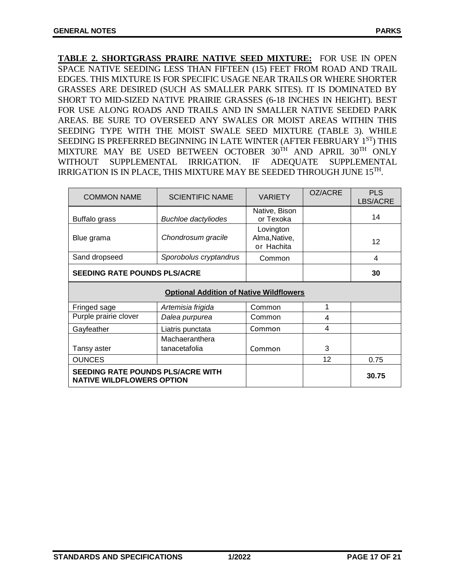**TABLE 2. SHORTGRASS PRAIRE NATIVE SEED MIXTURE:** FOR USE IN OPEN SPACE NATIVE SEEDING LESS THAN FIFTEEN (15) FEET FROM ROAD AND TRAIL EDGES. THIS MIXTURE IS FOR SPECIFIC USAGE NEAR TRAILS OR WHERE SHORTER GRASSES ARE DESIRED (SUCH AS SMALLER PARK SITES). IT IS DOMINATED BY SHORT TO MID-SIZED NATIVE PRAIRIE GRASSES (6-18 INCHES IN HEIGHT). BEST FOR USE ALONG ROADS AND TRAILS AND IN SMALLER NATIVE SEEDED PARK AREAS. BE SURE TO OVERSEED ANY SWALES OR MOIST AREAS WITHIN THIS SEEDING TYPE WITH THE MOIST SWALE SEED MIXTURE (TABLE 3). WHILE SEEDING IS PREFERRED BEGINNING IN LATE WINTER (AFTER FEBRUARY 1<sup>ST</sup>) THIS MIXTURE MAY BE USED BETWEEN OCTOBER  $30^{\text{TH}}$  AND APRIL  $30^{\text{TH}}$  ONLY WITHOUT SUPPLEMENTAL IRRIGATION. IF ADEQUATE SUPPLEMENTAL IRRIGATION IS IN PLACE, THIS MIXTURE MAY BE SEEDED THROUGH JUNE 15TH.

| <b>COMMON NAME</b>                                                    | <b>SCIENTIFIC NAME</b>     | <b>VARIETY</b>                           | OZ/ACRE | <b>PLS</b><br><b>LBS/ACRE</b> |
|-----------------------------------------------------------------------|----------------------------|------------------------------------------|---------|-------------------------------|
| Buffalo grass                                                         | <b>Buchloe dactyliodes</b> | Native, Bison<br>or Texoka               |         | 14                            |
| Blue grama                                                            | Chondrosum gracile         | Lovington<br>Alma, Native,<br>or Hachita |         | 12                            |
| Sand dropseed                                                         | Sporobolus cryptandrus     | Common                                   |         | 4                             |
| <b>SEEDING RATE POUNDS PLS/ACRE</b>                                   |                            |                                          | 30      |                               |
| <b>Optional Addition of Native Wildflowers</b>                        |                            |                                          |         |                               |
| Fringed sage                                                          | Artemisia frigida          | Common                                   | 1       |                               |
| Purple prairie clover                                                 | Dalea purpurea             | Common                                   | 4       |                               |
| Gayfeather                                                            | Liatris punctata           | Common                                   | 4       |                               |
|                                                                       | Machaeranthera             |                                          |         |                               |
| Tansy aster                                                           | tanacetafolia              | Common                                   | 3       |                               |
| <b>OUNCES</b>                                                         |                            |                                          | 12      | 0.75                          |
| SEEDING RATE POUNDS PLS/ACRE WITH<br><b>NATIVE WILDFLOWERS OPTION</b> |                            |                                          |         | 30.75                         |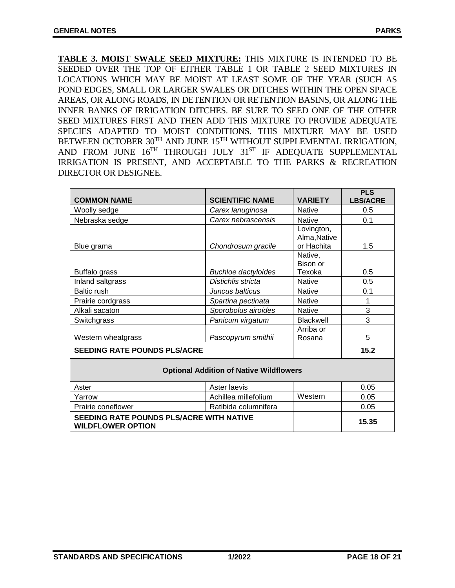**TABLE 3. MOIST SWALE SEED MIXTURE:** THIS MIXTURE IS INTENDED TO BE SEEDED OVER THE TOP OF EITHER TABLE 1 OR TABLE 2 SEED MIXTURES IN LOCATIONS WHICH MAY BE MOIST AT LEAST SOME OF THE YEAR (SUCH AS POND EDGES, SMALL OR LARGER SWALES OR DITCHES WITHIN THE OPEN SPACE AREAS, OR ALONG ROADS, IN DETENTION OR RETENTION BASINS, OR ALONG THE INNER BANKS OF IRRIGATION DITCHES. BE SURE TO SEED ONE OF THE OTHER SEED MIXTURES FIRST AND THEN ADD THIS MIXTURE TO PROVIDE ADEQUATE SPECIES ADAPTED TO MOIST CONDITIONS. THIS MIXTURE MAY BE USED BETWEEN OCTOBER 30<sup>TH</sup> AND JUNE 15<sup>TH</sup> WITHOUT SUPPLEMENTAL IRRIGATION, AND FROM JUNE  $16^{TH}$  THROUGH JULY  $31^{ST}$  IF ADEQUATE SUPPLEMENTAL IRRIGATION IS PRESENT, AND ACCEPTABLE TO THE PARKS & RECREATION DIRECTOR OR DESIGNEE.

| <b>COMMON NAME</b>                                                   | <b>SCIENTIFIC NAME</b>     | <b>VARIETY</b>             | <b>PLS</b><br><b>LBS/ACRE</b> |  |
|----------------------------------------------------------------------|----------------------------|----------------------------|-------------------------------|--|
| Woolly sedge                                                         | Carex lanuginosa           | <b>Native</b>              | 0.5                           |  |
| Nebraska sedge                                                       | Carex nebrascensis         | <b>Native</b>              | 0.1                           |  |
|                                                                      |                            | Lovington,<br>Alma, Native |                               |  |
| Blue grama                                                           | Chondrosum gracile         | or Hachita                 | 1.5                           |  |
|                                                                      |                            | Native,<br>Bison or        |                               |  |
| <b>Buffalo</b> grass                                                 | <b>Buchloe dactyloides</b> | Texoka                     | 0.5                           |  |
| Inland saltgrass                                                     | Distichlis stricta         | <b>Native</b>              | 0.5                           |  |
| Baltic rush                                                          | Juncus balticus            | <b>Native</b>              | 0.1                           |  |
| Prairie cordgrass                                                    | Spartina pectinata         | <b>Native</b>              | 1                             |  |
| Alkali sacaton                                                       | Sporobolus airoides        | <b>Native</b>              | 3                             |  |
| Switchgrass                                                          | Panicum virgatum           | <b>Blackwell</b>           | 3                             |  |
| Western wheatgrass                                                   | Pascopyrum smithii         | Arriba or<br>Rosana        | 5                             |  |
| <b>SEEDING RATE POUNDS PLS/ACRE</b>                                  |                            | 15.2                       |                               |  |
| <b>Optional Addition of Native Wildflowers</b>                       |                            |                            |                               |  |
| Aster                                                                | Aster laevis               |                            | 0.05                          |  |
| Yarrow                                                               | Achillea millefolium       | Western                    | 0.05                          |  |
| Prairie coneflower                                                   | Ratibida columnifera       |                            | 0.05                          |  |
| SEEDING RATE POUNDS PLS/ACRE WITH NATIVE<br><b>WILDFLOWER OPTION</b> |                            | 15.35                      |                               |  |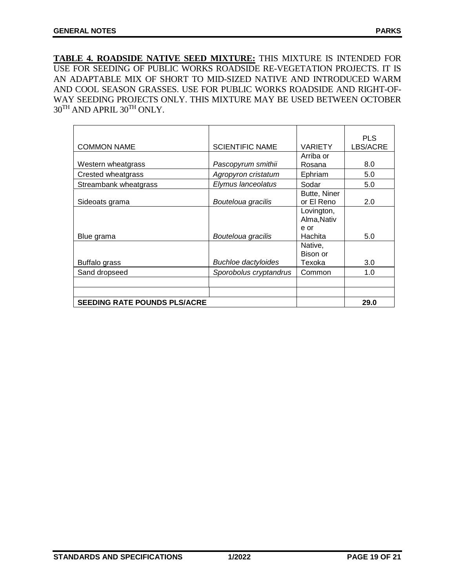**TABLE 4. ROADSIDE NATIVE SEED MIXTURE:** THIS MIXTURE IS INTENDED FOR USE FOR SEEDING OF PUBLIC WORKS ROADSIDE RE-VEGETATION PROJECTS. IT IS AN ADAPTABLE MIX OF SHORT TO MID-SIZED NATIVE AND INTRODUCED WARM AND COOL SEASON GRASSES. USE FOR PUBLIC WORKS ROADSIDE AND RIGHT-OF-WAY SEEDING PROJECTS ONLY. THIS MIXTURE MAY BE USED BETWEEN OCTOBER 30TH AND APRIL 30TH ONLY.

|                                     |                            |                            | <b>PLS</b>      |
|-------------------------------------|----------------------------|----------------------------|-----------------|
| <b>COMMON NAME</b>                  | <b>SCIENTIFIC NAME</b>     | <b>VARIETY</b>             | <b>LBS/ACRE</b> |
|                                     |                            | Arriba or                  |                 |
| Western wheatgrass                  | Pascopyrum smithii         | Rosana                     | 8.0             |
| Crested wheatgrass                  | Agropyron cristatum        | Ephriam                    | 5.0             |
| Streambank wheatgrass               | Elymus lanceolatus         | Sodar                      | 5.0             |
| Sideoats grama                      | Bouteloua gracilis         | Butte, Niner<br>or El Reno | 2.0             |
|                                     |                            | Lovington,<br>Alma, Nativ  |                 |
|                                     |                            | e or                       |                 |
| Blue grama                          | Bouteloua gracilis         | Hachita                    | 5.0             |
|                                     |                            | Native.<br>Bison or        |                 |
| Buffalo grass                       | <b>Buchloe dactyloides</b> | Texoka                     | 3.0             |
| Sand dropseed                       | Sporobolus cryptandrus     | Common                     | 1.0             |
|                                     |                            |                            |                 |
|                                     |                            |                            |                 |
| <b>SEEDING RATE POUNDS PLS/ACRE</b> |                            |                            | 29.0            |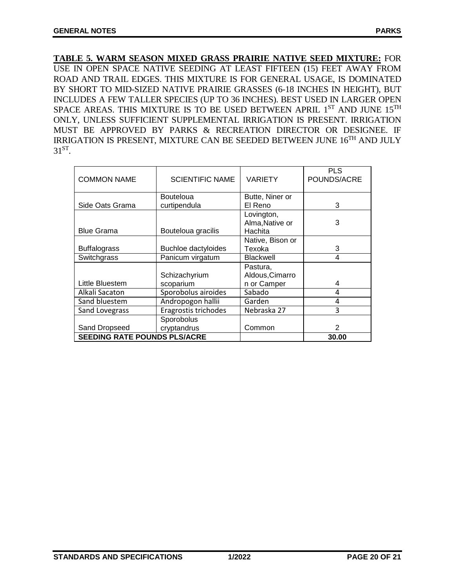**TABLE 5. WARM SEASON MIXED GRASS PRAIRIE NATIVE SEED MIXTURE:** FOR USE IN OPEN SPACE NATIVE SEEDING AT LEAST FIFTEEN (15) FEET AWAY FROM ROAD AND TRAIL EDGES. THIS MIXTURE IS FOR GENERAL USAGE, IS DOMINATED BY SHORT TO MID-SIZED NATIVE PRAIRIE GRASSES (6-18 INCHES IN HEIGHT), BUT INCLUDES A FEW TALLER SPECIES (UP TO 36 INCHES). BEST USED IN LARGER OPEN SPACE AREAS. THIS MIXTURE IS TO BE USED BETWEEN APRIL  $1^{ST}$  AND JUNE  $15^{TH}$ ONLY, UNLESS SUFFICIENT SUPPLEMENTAL IRRIGATION IS PRESENT. IRRIGATION MUST BE APPROVED BY PARKS & RECREATION DIRECTOR OR DESIGNEE. IF IRRIGATION IS PRESENT, MIXTURE CAN BE SEEDED BETWEEN JUNE 16TH AND JULY  $31^{ST}$ .

| <b>COMMON NAME</b>                  | <b>SCIENTIFIC NAME</b>     | <b>VARIETY</b>                           | <b>PLS</b><br>POUNDS/ACRE |
|-------------------------------------|----------------------------|------------------------------------------|---------------------------|
|                                     | <b>Bouteloua</b>           | Butte, Niner or                          |                           |
| Side Oats Grama                     | curtipendula               | El Reno                                  | 3                         |
| <b>Blue Grama</b>                   | Bouteloua gracilis         | Lovington,<br>Alma, Native or<br>Hachita | 3                         |
|                                     |                            | Native, Bison or                         |                           |
| <b>Buffalograss</b>                 | <b>Buchloe dactyloides</b> | Texoka                                   | 3                         |
| Switchgrass                         | Panicum virgatum           | <b>Blackwell</b>                         | 4                         |
|                                     |                            | Pastura,                                 |                           |
|                                     | Schizachyrium              | Aldous, Cimarro                          |                           |
| Little Bluestem                     | scoparium                  | n or Camper                              | 4                         |
| Alkali Sacaton                      | Sporobolus airoides        | Sabado                                   | 4                         |
| Sand bluestem                       | Andropogon hallii          | Garden                                   | 4                         |
| Sand Lovegrass                      | Eragrostis trichodes       | Nebraska 27                              | 3                         |
|                                     | Sporobolus                 |                                          |                           |
| Sand Dropseed                       | cryptandrus                | Common                                   | $\mathcal{P}$             |
| <b>SEEDING RATE POUNDS PLS/ACRE</b> |                            |                                          | 30.00                     |